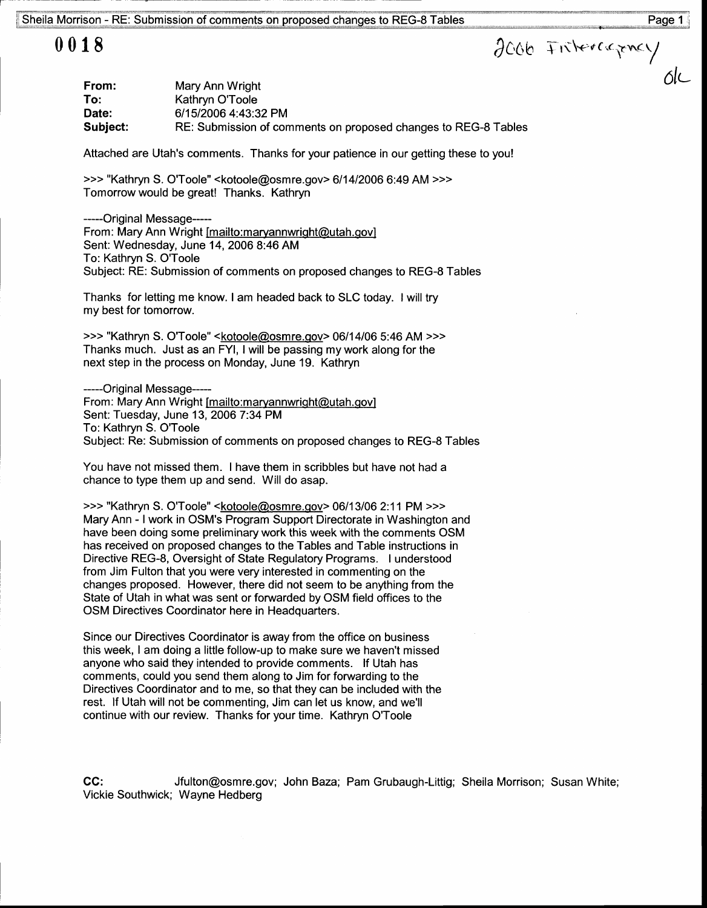## 0018

| From:    | Mary Ann Wright                                                |
|----------|----------------------------------------------------------------|
| To:      | Kathryn O'Toole                                                |
| Date:    | 6/15/2006 4:43:32 PM                                           |
| Subject: | RE: Submission of comments on proposed changes to REG-8 Tables |

Attached are Utah's comments. Thanks for your patience in our getting these to you!

>>> "Kathryn S. O'Toole" <kotoole@osmre.gov> 6/14/2006 6:49 AM >>> Tomorrow would be great! Thanks. Kathryn

---Original Message--- From: Mary Ann Wright [mailto:maryannwright@utah.gov] Sent: Wednesday, June 14,2000 8:46 AM To: Kathryn S. O'Toole Subject: RE: Submission of comments on proposed changes to REG-8 Tables

Thanks for letting me know. I am headed back to SLC today. I will try my best for tomorrow.

>>> "Kathryn S. O'Toole" <kotoole@osmre.qov> 06114106 5:46 AM >>> Thanks much. Just as an FYl, I will be passing my work along for the next step in the process on Monday, June 19. Kathryn

-----Original Message-----From: Mary Ann Wright [mailto:maryannwright@utah.gov] Sent: Tuesday, June 13, 2006 7:34 PM To: Kathryn S. O'Toole Subject: Re: Submission of comments on proposed changes to REG-8 Tables

You have not missed them. I have them in scribbles but have not had a chance to type them up and send. Will do asap.

>>> "Kathryn S. O'Toole" <kotoole@osmre.qov> 06/1 3106 2:11 PM >>> Mary Ann - I work in OSM's Program Support Directorate in Washington and have been doing some preliminary work this week with the comments OSM has received on proposed changes to the Tables and Table instructions in Directive REG-8, Oversight of State Regulatory Programs. I understood from Jim Fulton that you were very interested in commenting on the changes proposed. However, there did not seem to be anything from the State of Utah in what was sent or forwarded by OSM field offices to the OSM Directives Coordinator here in Headquarters.

Since our Directives Coordinator is away from the office on business this week, I am doing a little follow-up to make sure we haven't missed anyone who said they intended to provide comments. lf Utah has comments, could you send them along to Jim for fonruarding to the Directives Coordinator and to me, so that they can be included with the rest. lf Utah will not be commenting, Jim can let us know, and we'll continue with our review. Thanks for your time. Kathryn O'Toole

CC: Jfulton@osmre.gov; John Baza: Pam Grubaugh-Littig; Sheila Morrison; Susan White; Vickie Southwick; Wayne Hedberg

ΛL

2006 Fritercapney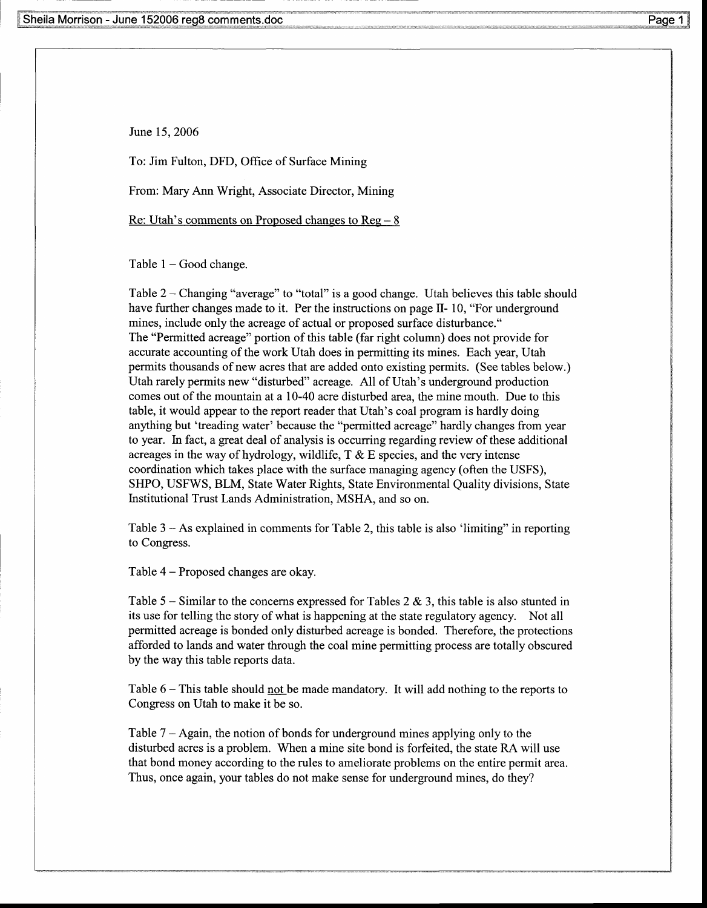June 15,2006

To: Jim Fulton, DFD, Offrce of Surface Mining

From: Mary Ann Wright, Associate Director, Mining

Re: Utah's comments on Proposed changes to  $Reg - 8$ 

Table  $1 - Good change$ .

Table 2 - Changing "average" to "total" is a good change. Utah believes this table should have further changes made to it. Per the instructions on page  $II-10$ , "For underground mines, include only the acreage of actual or proposed surface disturbance." The "Permitted acreage" portion of this table (far right column) does not provide for accurate accounting of the work Utah does in permitting its mines. Each year, Utah permits thousands of new acres that are added onto existing permits. (See tables below.) Utah rarely permits new "disturbed" acreage. All of Utah's underground production comes out of the mountain at a 10-40 acre disturbed area, the mine mouth. Due to this table, it would appear to the report reader that Utah's coal program is hardly doing anything but 'treading water' because the "permitted acreage" hardly changes from year to year. In fact, a great deal of analysis is occurring regarding review of these additional acreages in the way of hydrology, wildlife,  $T \& E$  species, and the very intense coordination which takes place with the surface managing agency (often the USFS), SHPO, USFWS, BLM, State Water Rights, State Environmental Quality divisions, State Institutional Trust Lands Administration. MSHA. and so on.

Table 3 – As explained in comments for Table 2, this table is also 'limiting' in reporting to Congress.

Table 4 - Proposed changes are okay.

Table 5 – Similar to the concerns expressed for Tables 2  $\&$  3, this table is also stunted in its use for telling the story of what is happening at the state regulatory agency. Not all permitted acreage is bonded only disturbed acreage is bonded. Therefore, the protections afforded to lands and water through the coal mine permitting process are totally obscured by the way this table reports data.

Table  $6 -$  This table should not be made mandatory. It will add nothing to the reports to Congress on Utah to make it be so.

Table 7 - Again, the notion of bonds for underground mines applying only to the disturbed acres is a problem. When a mine site bond is forfeited, the state RA will use that bond money according to the rules to ameliorate problems on the entire permit area. Thus, once again, your tables do not make sense for underground mines, do they?